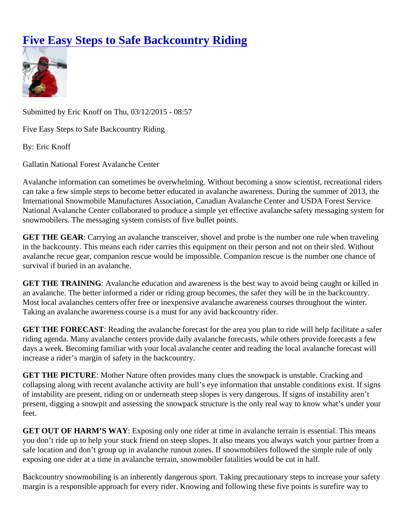## [Five Easy Steps to Safe Backcountry Ridin](https://www.mtavalanche.com/blog/five-easy-steps-safe-backcountry-riding)g

Submitted by Eric Knoff on Thu, 03/12/2015 - 08:57

Five Easy Steps to Safe Backcountry Riding

By: Eric Knoff

Gallatin National Forest Avalanche Center

Avalanche information can sometimes be overwhelming. Without becoming a snow scientist, recreational ride can take a few simple steps to become better educated in avalanche awareness. During the summer of 2013 International Snowmobile Manufactures Association, Canadian Avalanche Center and USDA Forest Service National Avalanche Center collaborated to produce a simple yet effective avalanche safety messaging syster snowmobilers. The messaging system consists of five bullet points.

GET THE GEAR : Carrying an avalanche transceiver, shovel and probe is the number one rule when traveling in the backcounty. This means each rider carries this equipment on their person and not on their sled. Without avalanche recue gear, companion rescue would be impossible. Companion rescue is the number one chance survival if buried in an avalanche.

GET THE TRAINING : Avalanche education and awareness is the best way to avoid being caught or killed in an avalanche. The better informed a rider or riding group becomes, the safer they will be in the backcountry. Most local avalanches centers offer free or inexpensive avalanche awareness courses throughout the winter. Taking an avalanche awareness course is a must for any avid backcountry rider.

GET THE FORECAST: Reading the avalanche forecast for the area you plan to ride will help facilitate a safer riding agenda. Many avalanche centers provide daily avalanche forecasts, while others provide forecasts a fe days a week. Becoming familiar with your local avalanche center and reading the local avalanche forecast will increase a rider's margin of safety in the backcountry.

GET THE PICTURE : Mother Nature often provides many clues the snowpack is unstable. Cracking and collapsing along with recent avalanche activity are bull's eye information that unstable conditions exist. If sign of instability are present, riding on or underneath steep slopes is very dangerous. If signs of instability aren't present, digging a snowpit and assessing the snowpack structure is the only real way to know what's under y feet.

GET OUT OF HARM'S WAY : Exposing only one rider at time in avalanche terrain is essential. This means you don't ride up to help your stuck friend on steep slopes. It also means you always watch your partner from safe location and don't group up in avalanche runout zones. If snowmobilers followed the simple rule of only exposing one rider at a time in avalanche terrain, snowmobiler fatalities would be cut in half.

Backcountry snowmobiling is an inherently dangerous sport. Taking precautionary steps to increase your safe margin is a responsible approach for every rider. Knowing and following these five points is surefire way to